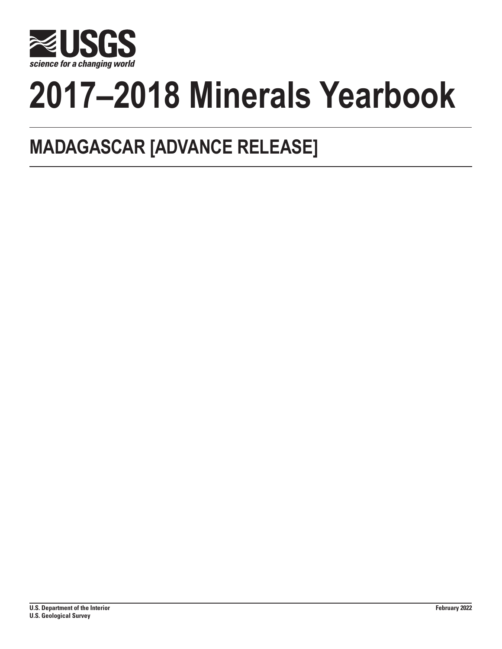

# **2017–2018 Minerals Yearbook**

## **MADAGASCAR [ADVANCE RELEASE]**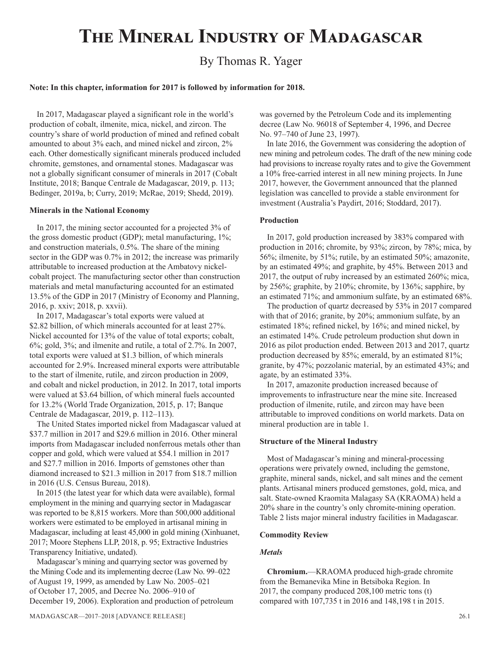## **The Mineral Industry of Madagascar**

### By Thomas R. Yager

#### **Note: In this chapter, information for 2017 is followed by information for 2018.**

In 2017, Madagascar played a significant role in the world's production of cobalt, ilmenite, mica, nickel, and zircon. The country's share of world production of mined and refined cobalt amounted to about 3% each, and mined nickel and zircon, 2% each. Other domestically significant minerals produced included chromite, gemstones, and ornamental stones. Madagascar was not a globally significant consumer of minerals in 2017 (Cobalt Institute, 2018; Banque Centrale de Madagascar, 2019, p. 113; Bedinger, 2019a, b; Curry, 2019; McRae, 2019; Shedd, 2019).

#### **Minerals in the National Economy**

In 2017, the mining sector accounted for a projected 3% of the gross domestic product (GDP); metal manufacturing, 1%; and construction materials, 0.5%. The share of the mining sector in the GDP was  $0.7\%$  in 2012; the increase was primarily attributable to increased production at the Ambatovy nickelcobalt project. The manufacturing sector other than construction materials and metal manufacturing accounted for an estimated 13.5% of the GDP in 2017 (Ministry of Economy and Planning, 2016, p. xxiv; 2018, p. xxvii).

In 2017, Madagascar's total exports were valued at \$2.82 billion, of which minerals accounted for at least 27%. Nickel accounted for 13% of the value of total exports; cobalt, 6%; gold, 3%; and ilmenite and rutile, a total of 2.7%. In 2007, total exports were valued at \$1.3 billion, of which minerals accounted for 2.9%. Increased mineral exports were attributable to the start of ilmenite, rutile, and zircon production in 2009, and cobalt and nickel production, in 2012. In 2017, total imports were valued at \$3.64 billion, of which mineral fuels accounted for 13.2% (World Trade Organization, 2015, p. 17; Banque Centrale de Madagascar, 2019, p. 112–113).

The United States imported nickel from Madagascar valued at \$37.7 million in 2017 and \$29.6 million in 2016. Other mineral imports from Madagascar included nonferrous metals other than copper and gold, which were valued at \$54.1 million in 2017 and \$27.7 million in 2016. Imports of gemstones other than diamond increased to \$21.3 million in 2017 from \$18.7 million in 2016 (U.S. Census Bureau, 2018).

In 2015 (the latest year for which data were available), formal employment in the mining and quarrying sector in Madagascar was reported to be 8,815 workers. More than 500,000 additional workers were estimated to be employed in artisanal mining in Madagascar, including at least 45,000 in gold mining (Xinhuanet, 2017; Moore Stephens LLP, 2018, p. 95; Extractive Industries Transparency Initiative, undated).

Madagascar's mining and quarrying sector was governed by the Mining Code and its implementing decree (Law No. 99–022 of August 19, 1999, as amended by Law No. 2005–021 of October 17, 2005, and Decree No. 2006–910 of December 19, 2006). Exploration and production of petroleum was governed by the Petroleum Code and its implementing decree (Law No. 96018 of September 4, 1996, and Decree No. 97–740 of June 23, 1997).

In late 2016, the Government was considering the adoption of new mining and petroleum codes. The draft of the new mining code had provisions to increase royalty rates and to give the Government a 10% free-carried interest in all new mining projects. In June 2017, however, the Government announced that the planned legislation was cancelled to provide a stable environment for investment (Australia's Paydirt, 2016; Stoddard, 2017).

#### **Production**

In 2017, gold production increased by 383% compared with production in 2016; chromite, by 93%; zircon, by 78%; mica, by 56%; ilmenite, by 51%; rutile, by an estimated 50%; amazonite, by an estimated 49%; and graphite, by 45%. Between 2013 and 2017, the output of ruby increased by an estimated 260%; mica, by 256%; graphite, by 210%; chromite, by 136%; sapphire, by an estimated 71%; and ammonium sulfate, by an estimated 68%.

The production of quartz decreased by 53% in 2017 compared with that of 2016; granite, by 20%; ammonium sulfate, by an estimated 18%; refined nickel, by 16%; and mined nickel, by an estimated 14%. Crude petroleum production shut down in 2016 as pilot production ended. Between 2013 and 2017, quartz production decreased by 85%; emerald, by an estimated 81%; granite, by 47%; pozzolanic material, by an estimated 43%; and agate, by an estimated 33%.

In 2017, amazonite production increased because of improvements to infrastructure near the mine site. Increased production of ilmenite, rutile, and zircon may have been attributable to improved conditions on world markets. Data on mineral production are in table 1.

#### **Structure of the Mineral Industry**

Most of Madagascar's mining and mineral-processing operations were privately owned, including the gemstone, graphite, mineral sands, nickel, and salt mines and the cement plants. Artisanal miners produced gemstones, gold, mica, and salt. State-owned Kraomita Malagasy SA (KRAOMA) held a 20% share in the country's only chromite-mining operation. Table 2 lists major mineral industry facilities in Madagascar.

#### **Commodity Review**

#### *Metals*

**Chromium.**—KRAOMA produced high-grade chromite from the Bemanevika Mine in Betsiboka Region. In 2017, the company produced 208,100 metric tons (t) compared with 107,735 t in 2016 and 148,198 t in 2015.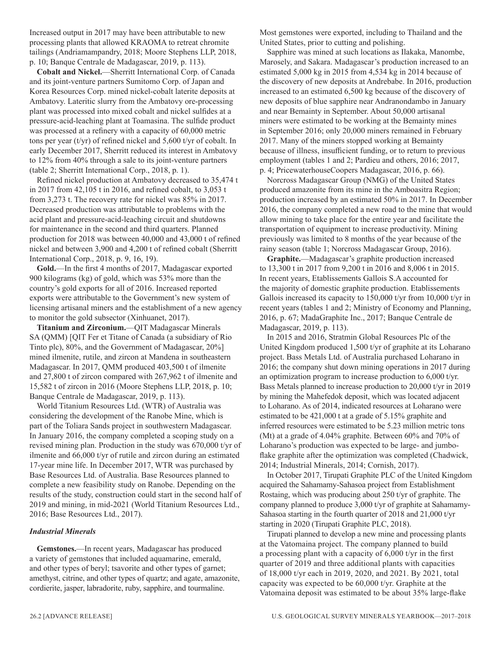Increased output in 2017 may have been attributable to new processing plants that allowed KRAOMA to retreat chromite tailings (Andriamampandry, 2018; Moore Stephens LLP, 2018, p. 10; Banque Centrale de Madagascar, 2019, p. 113).

**Cobalt and Nickel.**—Sherritt International Corp. of Canada and its joint-venture partners Sumitomo Corp. of Japan and Korea Resources Corp. mined nickel-cobalt laterite deposits at Ambatovy. Lateritic slurry from the Ambatovy ore-processing plant was processed into mixed cobalt and nickel sulfides at a pressure-acid-leaching plant at Toamasina. The sulfide product was processed at a refinery with a capacity of 60,000 metric tons per year (t/yr) of refined nickel and 5,600 t/yr of cobalt. In early December 2017, Sherritt reduced its interest in Ambatovy to 12% from 40% through a sale to its joint-venture partners (table 2; Sherritt International Corp., 2018, p. 1).

Refined nickel production at Ambatovy decreased to 35,474 t in 2017 from 42,105 t in 2016, and refined cobalt, to 3,053 t from 3,273 t. The recovery rate for nickel was 85% in 2017. Decreased production was attributable to problems with the acid plant and pressure-acid-leaching circuit and shutdowns for maintenance in the second and third quarters. Planned production for 2018 was between 40,000 and 43,000 t of refined nickel and between 3,900 and 4,200 t of refined cobalt (Sherritt International Corp., 2018, p. 9, 16, 19).

**Gold.**—In the first 4 months of 2017, Madagascar exported 900 kilograms (kg) of gold, which was 53% more than the country's gold exports for all of 2016. Increased reported exports were attributable to the Government's new system of licensing artisanal miners and the establishment of a new agency to monitor the gold subsector (Xinhuanet, 2017).

**Titanium and Zirconium.**—QIT Madagascar Minerals SA (QMM) [QIT Fer et Titane of Canada (a subsidiary of Rio Tinto plc), 80%, and the Government of Madagascar, 20%] mined ilmenite, rutile, and zircon at Mandena in southeastern Madagascar. In 2017, QMM produced 403,500 t of ilmenite and 27,800 t of zircon compared with 267,962 t of ilmenite and 15,582 t of zircon in 2016 (Moore Stephens LLP, 2018, p. 10; Banque Centrale de Madagascar, 2019, p. 113).

World Titanium Resources Ltd. (WTR) of Australia was considering the development of the Ranobe Mine, which is part of the Toliara Sands project in southwestern Madagascar. In January 2016, the company completed a scoping study on a revised mining plan. Production in the study was 670,000 t/yr of ilmenite and 66,000 t/yr of rutile and zircon during an estimated 17-year mine life. In December 2017, WTR was purchased by Base Resources Ltd. of Australia. Base Resources planned to complete a new feasibility study on Ranobe. Depending on the results of the study, construction could start in the second half of 2019 and mining, in mid-2021 (World Titanium Resources Ltd., 2016; Base Resources Ltd., 2017).

#### *Industrial Minerals*

**Gemstones.**—In recent years, Madagascar has produced a variety of gemstones that included aquamarine, emerald, and other types of beryl; tsavorite and other types of garnet; amethyst, citrine, and other types of quartz; and agate, amazonite, cordierite, jasper, labradorite, ruby, sapphire, and tourmaline.

Most gemstones were exported, including to Thailand and the United States, prior to cutting and polishing.

Sapphire was mined at such locations as Ilakaka, Manombe, Marosely, and Sakara. Madagascar's production increased to an estimated 5,000 kg in 2015 from 4,534 kg in 2014 because of the discovery of new deposits at Andrebabe. In 2016, production increased to an estimated 6,500 kg because of the discovery of new deposits of blue sapphire near Andranondambo in January and near Bemainty in September. About 50,000 artisanal miners were estimated to be working at the Bemainty mines in September 2016; only 20,000 miners remained in February 2017. Many of the miners stopped working at Bemainty because of illness, insufficient funding, or to return to previous employment (tables 1 and 2; Pardieu and others, 2016; 2017, p. 4; PricewaterhouseCoopers Madagascar, 2016, p. 66).

Norcross Madagascar Group (NMG) of the United States produced amazonite from its mine in the Amboasitra Region; production increased by an estimated 50% in 2017. In December 2016, the company completed a new road to the mine that would allow mining to take place for the entire year and facilitate the transportation of equipment to increase productivity. Mining previously was limited to 8 months of the year because of the rainy season (table 1; Norcross Madagascar Group, 2016).

**Graphite.**—Madagascar's graphite production increased to 13,300 t in 2017 from 9,200 t in 2016 and 8,006 t in 2015. In recent years, Etablissements Gallois S.A accounted for the majority of domestic graphite production. Etablissements Gallois increased its capacity to 150,000 t/yr from 10,000 t/yr in recent years (tables 1 and 2; Ministry of Economy and Planning, 2016, p. 67; MadaGraphite Inc., 2017; Banque Centrale de Madagascar, 2019, p. 113).

In 2015 and 2016, Stratmin Global Resources Plc of the United Kingdom produced 1,500 t/yr of graphite at its Loharano project. Bass Metals Ltd. of Australia purchased Loharano in 2016; the company shut down mining operations in 2017 during an optimization program to increase production to 6,000 t/yr. Bass Metals planned to increase production to 20,000 t/yr in 2019 by mining the Mahefedok deposit, which was located adjacent to Loharano. As of 2014, indicated resources at Loharano were estimated to be 421,000 t at a grade of 5.15% graphite and inferred resources were estimated to be 5.23 million metric tons (Mt) at a grade of 4.04% graphite. Between 60% and 70% of Loharano's production was expected to be large- and jumboflake graphite after the optimization was completed (Chadwick, 2014; Industrial Minerals, 2014; Cornish, 2017).

In October 2017, Tirupati Graphite PLC of the United Kingdom acquired the Sahamamy-Sahasoa project from Establishment Rostaing, which was producing about 250 t/yr of graphite. The company planned to produce 3,000 t/yr of graphite at Sahamamy-Sahasoa starting in the fourth quarter of 2018 and 21,000 t/yr starting in 2020 (Tirupati Graphite PLC, 2018).

Tirupati planned to develop a new mine and processing plants at the Vatomaina project. The company planned to build a processing plant with a capacity of 6,000 t/yr in the first quarter of 2019 and three additional plants with capacities of 18,000 t/yr each in 2019, 2020, and 2021. By 2021, total capacity was expected to be 60,000 t/yr. Graphite at the Vatomaina deposit was estimated to be about 35% large-flake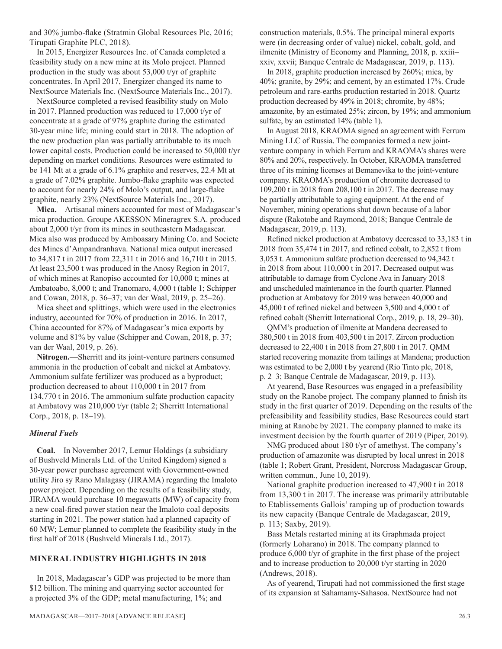and 30% jumbo-flake (Stratmin Global Resources Plc, 2016; Tirupati Graphite PLC, 2018).

In 2015, Energizer Resources Inc. of Canada completed a feasibility study on a new mine at its Molo project. Planned production in the study was about 53,000 t/yr of graphite concentrates. In April 2017, Energizer changed its name to NextSource Materials Inc. (NextSource Materials Inc., 2017).

NextSource completed a revised feasibility study on Molo in 2017. Planned production was reduced to 17,000 t/yr of concentrate at a grade of 97% graphite during the estimated 30-year mine life; mining could start in 2018. The adoption of the new production plan was partially attributable to its much lower capital costs. Production could be increased to 50,000 t/yr depending on market conditions. Resources were estimated to be 141 Mt at a grade of 6.1% graphite and reserves, 22.4 Mt at a grade of 7.02% graphite. Jumbo-flake graphite was expected to account for nearly 24% of Molo's output, and large-flake graphite, nearly 23% (NextSource Materials Inc., 2017).

**Mica.**—Artisanal miners accounted for most of Madagascar's mica production. Groupe AKESSON Mineragrex S.A. produced about 2,000 t/yr from its mines in southeastern Madagascar. Mica also was produced by Amboasary Mining Co. and Societe des Mines d'Ampandranhava. National mica output increased to 34,817 t in 2017 from 22,311 t in 2016 and 16,710 t in 2015. At least 23,500 t was produced in the Anosy Region in 2017, of which mines at Ranopiso accounted for 10,000 t; mines at Ambatoabo, 8,000 t; and Tranomaro, 4,000 t (table 1; Schipper and Cowan, 2018, p. 36–37; van der Waal, 2019, p. 25–26).

Mica sheet and splittings, which were used in the electronics industry, accounted for 70% of production in 2016. In 2017, China accounted for 87% of Madagascar's mica exports by volume and 81% by value (Schipper and Cowan, 2018, p. 37; van der Waal, 2019, p. 26).

**Nitrogen.**—Sherritt and its joint-venture partners consumed ammonia in the production of cobalt and nickel at Ambatovy. Ammonium sulfate fertilizer was produced as a byproduct; production decreased to about 110,000 t in 2017 from 134,770 t in 2016. The ammonium sulfate production capacity at Ambatovy was 210,000 t/yr (table 2; Sherritt International Corp., 2018, p. 18–19).

#### *Mineral Fuels*

**Coal.**—In November 2017, Lemur Holdings (a subsidiary of Bushveld Minerals Ltd. of the United Kingdom) signed a 30-year power purchase agreement with Government-owned utility Jiro sy Rano Malagasy (JIRAMA) regarding the Imaloto power project. Depending on the results of a feasibility study, JIRAMA would purchase 10 megawatts (MW) of capacity from a new coal-fired power station near the Imaloto coal deposits starting in 2021. The power station had a planned capacity of 60 MW; Lemur planned to complete the feasibility study in the first half of 2018 (Bushveld Minerals Ltd., 2017).

#### **MINERAL INDUSTRY HIGHLIGHTS IN 2018**

In 2018, Madagascar's GDP was projected to be more than \$12 billion. The mining and quarrying sector accounted for a projected 3% of the GDP; metal manufacturing, 1%; and

construction materials, 0.5%. The principal mineral exports were (in decreasing order of value) nickel, cobalt, gold, and ilmenite (Ministry of Economy and Planning, 2018, p. xxiii– xxiv, xxvii; Banque Centrale de Madagascar, 2019, p. 113).

In 2018, graphite production increased by 260%; mica, by 40%; granite, by 29%; and cement, by an estimated 17%. Crude petroleum and rare-earths production restarted in 2018. Quartz production decreased by 49% in 2018; chromite, by 48%; amazonite, by an estimated 25%; zircon, by 19%; and ammonium sulfate, by an estimated 14% (table 1).

In August 2018, KRAOMA signed an agreement with Ferrum Mining LLC of Russia. The companies formed a new jointventure company in which Ferrum and KRAOMA's shares were 80% and 20%, respectively. In October, KRAOMA transferred three of its mining licenses at Bemanevika to the joint-venture company. KRAOMA's production of chromite decreased to 109,200 t in 2018 from 208,100 t in 2017. The decrease may be partially attributable to aging equipment. At the end of November, mining operations shut down because of a labor dispute (Rakotobe and Raymond, 2018; Banque Centrale de Madagascar, 2019, p. 113).

Refined nickel production at Ambatovy decreased to 33,183 t in 2018 from 35,474 t in 2017, and refined cobalt, to 2,852 t from 3,053 t. Ammonium sulfate production decreased to 94,342 t in 2018 from about 110,000 t in 2017. Decreased output was attributable to damage from Cyclone Ava in January 2018 and unscheduled maintenance in the fourth quarter. Planned production at Ambatovy for 2019 was between 40,000 and 45,000 t of refined nickel and between 3,500 and 4,000 t of refined cobalt (Sherritt International Corp., 2019, p. 18, 29–30).

QMM's production of ilmenite at Mandena decreased to 380,500 t in 2018 from 403,500 t in 2017. Zircon production decreased to 22,400 t in 2018 from 27,800 t in 2017. QMM started recovering monazite from tailings at Mandena; production was estimated to be 2,000 t by yearend (Rio Tinto plc, 2018, p. 2–3; Banque Centrale de Madagascar, 2019, p. 113).

At yearend, Base Resources was engaged in a prefeasibility study on the Ranobe project. The company planned to finish its study in the first quarter of 2019. Depending on the results of the prefeasibility and feasibility studies, Base Resources could start mining at Ranobe by 2021. The company planned to make its investment decision by the fourth quarter of 2019 (Piper, 2019).

NMG produced about 180 t/yr of amethyst. The company's production of amazonite was disrupted by local unrest in 2018 (table 1; Robert Grant, President, Norcross Madagascar Group, written commun., June 10, 2019).

National graphite production increased to 47,900 t in 2018 from 13,300 t in 2017. The increase was primarily attributable to Etablissements Gallois' ramping up of production towards its new capacity (Banque Centrale de Madagascar, 2019, p. 113; Saxby, 2019).

Bass Metals restarted mining at its Graphmada project (formerly Loharano) in 2018. The company planned to produce 6,000 t/yr of graphite in the first phase of the project and to increase production to 20,000 t/yr starting in 2020 (Andrews, 2018).

As of yearend, Tirupati had not commissioned the first stage of its expansion at Sahamamy-Sahasoa. NextSource had not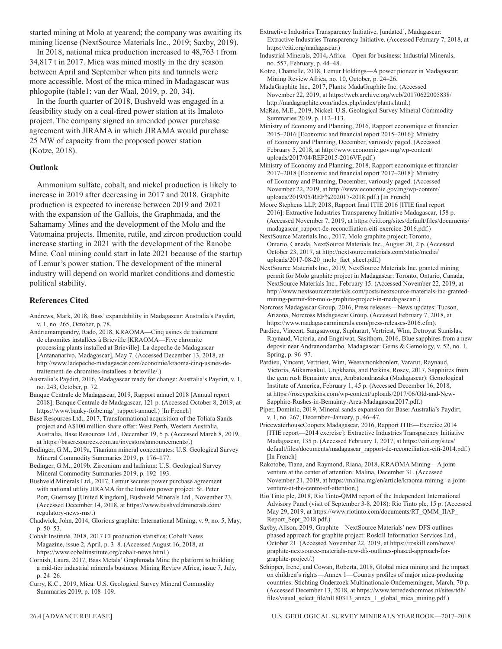started mining at Molo at yearend; the company was awaiting its mining license (NextSource Materials Inc., 2019; Saxby, 2019).

In 2018, national mica production increased to 48,763 t from 34,817 t in 2017. Mica was mined mostly in the dry season between April and September when pits and tunnels were more accessible. Most of the mica mined in Madagascar was phlogopite (table1; van der Waal, 2019, p. 20, 34).

In the fourth quarter of 2018, Bushveld was engaged in a feasibility study on a coal-fired power station at its Imaloto project. The company signed an amended power purchase agreement with JIRAMA in which JIRAMA would purchase 25 MW of capacity from the proposed power station (Kotze, 2018).

#### **Outlook**

Ammonium sulfate, cobalt, and nickel production is likely to increase in 2019 after decreasing in 2017 and 2018. Graphite production is expected to increase between 2019 and 2021 with the expansion of the Gallois, the Graphmada, and the Sahamamy Mines and the development of the Molo and the Vatomaina projects. Ilmenite, rutile, and zircon production could increase starting in 2021 with the development of the Ranobe Mine. Coal mining could start in late 2021 because of the startup of Lemur's power station. The development of the mineral industry will depend on world market conditions and domestic political stability.

#### **References Cited**

- Andrews, Mark, 2018, Bass' expandability in Madagascar: Australia's Paydirt, v. 1, no. 265, October, p. 78.
- Andriamampandry, Rado, 2018, KRAOMA—Cinq usines de traitement de chromites installées à Brieville [KRAOMA—Five chromite processing plants installed at Brieville]: La depeche de Madagascar [Antananarivo, Madagascar], May 7. (Accessed December 13, 2018, at http://www.ladepeche-madagascar.com/economie/kraoma-cinq-usines-detraitement-de-chromites-installees-a-brieville/.)
- Australia's Paydirt, 2016, Madagascar ready for change: Australia's Paydirt, v. 1, no. 243, October, p. 72.
- Banque Centrale de Madagascar, 2019, Rapport annuel 2018 [Annual report 2018]: Banque Centrale de Madagascar, 121 p. (Accessed October 8, 2019, at https://www.banky-foibe.mg/\_rapport-annuel.) [In French]
- Base Resources Ltd., 2017, Transformational acquisition of the Toliara Sands project and A\$100 million share offer: West Perth, Western Australia, Australia, Base Resources Ltd., December 19, 5 p. (Accessed March 8, 2019, at https://baseresources.com.au/investors/announcements/.)
- Bedinger, G.M., 2019a, Titanium mineral concentrates: U.S. Geological Survey Mineral Commodity Summaries 2019, p. 176–177.
- Bedinger, G.M., 2019b, Zirconium and hafnium: U.S. Geological Survey Mineral Commodity Summaries 2019, p. 192–193.
- Bushveld Minerals Ltd., 2017, Lemur secures power purchase agreement with national utility JIRAMA for the Imaloto power project: St. Peter Port, Guernsey [United Kingdom], Bushveld Minerals Ltd., November 23. (Accessed December 14, 2018, at https://www.bushveldminerals.com/ regulatory-news-rns/.)
- Chadwick, John, 2014, Glorious graphite: International Mining, v. 9, no. 5, May, p. 50–53.
- Cobalt Institute, 2018, 2017 CI production statistics: Cobalt News Magazine, issue 2, April, p. 3–8. (Accessed August 16, 2018, at https://www.cobaltinstitute.org/cobalt-news.html.)
- Cornish, Laura, 2017, Bass Metals' Graphmada Mine the platform to building a mid-tier industrial minerals business: Mining Review Africa, issue 7, July, p. 24–26.
- Curry, K.C., 2019, Mica: U.S. Geological Survey Mineral Commodity Summaries 2019, p. 108–109.
- Extractive Industries Transparency Initiative, [undated], Madagascar: Extractive Industries Transparency Initiative. (Accessed February 7, 2018, at https://eiti.org/madagascar.)
- Industrial Minerals, 2014, Africa—Open for business: Industrial Minerals, no. 557, February, p. 44–48.
- Kotze, Chantelle, 2018, Lemur Holdings—A power pioneer in Madagascar: Mining Review Africa, no. 10, October, p. 24–26.
- MadaGraphite Inc., 2017, Plants: MadaGraphite Inc. (Accessed November 22, 2019, at https://web.archive.org/web/20170622005838/ http://madagraphite.com/index.php/index/plants.html.)
- McRae, M.E., 2019, Nickel: U.S. Geological Survey Mineral Commodity Summaries 2019, p. 112–113.
- Ministry of Economy and Planning, 2016, Rapport economique et financier 2015–2016 [Economic and financial report 2015–2016]: Ministry of Economy and Planning, December, variously paged. (Accessed February 5, 2018, at http://www.economie.gov.mg/wp-content/ uploads/2017/04/REF2015-2016VF.pdf.)
- Ministry of Economy and Planning, 2018, Rapport economique et financier 2017–2018 [Economic and financial report 2017–2018]: Ministry of Economy and Planning, December, variously paged. (Accessed November 22, 2019, at http://www.economie.gov.mg/wp-content/ uploads/2019/05/REF%202017-2018.pdf.) [In French]
- Moore Stephens LLP, 2018, Rapport final ITIE 2016 [ITIE final report 2016]: Extractive Industries Transparency Initiative Madagascar, 158 p. (Accessed November 7, 2019, at https://eiti.org/sites/default/files/documents/ madagascar\_rapport-de-reconciliation-eiti-exercice-2016.pdf.)
- NextSource Materials Inc., 2017, Molo graphite project: Toronto, Ontario, Canada, NextSource Materials Inc., August 20, 2 p. (Accessed October 23, 2017, at http://nextsourcematerials.com/static/media/ uploads/2017-08-20\_molo\_fact\_sheet.pdf.)
- NextSource Materials Inc., 2019, NextSource Materials Inc. granted mining permit for Molo graphite project in Madagascar: Toronto, Ontario, Canada, NextSource Materials Inc., February 15. (Accessed November 22, 2019, at http://www.nextsourcematerials.com/posts/nextsource-materials-inc-grantedmining-permit-for-molo-graphite-project-in-madagascar/.)
- Norcross Madagascar Group, 2016, Press releases—News updates: Tucson, Arizona, Norcross Madagascar Group. (Accessed February 7, 2018, at https://www.madagascarminerals.com/press-releases-2016.cfm).
- Pardieu, Vincent, Sangsawong, Supharart, Vertriest, Wim, Detroyat Stanislas, Raynaud, Victoria, and Engniwat, Sasithorn, 2016, Blue sapphires from a new deposit near Andranondambo, Madagascar: Gems & Gemology, v. 52, no. 1, Spring, p. 96–97.
- Pardieu, Vincent, Vertriest, Wim, Weeramonkhonlert, Vararut, Raynaud, Victoria, Atikarnsakul, Ungkhana, and Perkins, Rosey, 2017, Sapphires from the gem rush Bemainty area, Ambatondrazaka (Madagascar): Gemological Institute of America, February 1, 45 p. (Accessed December 16, 2018, at https://roseyperkins.com/wp-content/uploads/2017/06/Old-and-New-Sapphire-Rushes-in-Bemainty-Area-Madagascar2017.pdf.)
- Piper, Dominic, 2019, Mineral sands expansion for Base: Australia's Paydirt, v. 1, no. 267, December–January, p. 46–47.
- PricewaterhouseCoopers Madagascar, 2016, Rapport ITIE—Exercice 2014 [ITIE report—2014 exercise]: Extractive Industries Transparency Initiative Madagascar, 135 p. (Accessed February 1, 2017, at https://eiti.org/sites/ default/files/documents/madagascar\_rapport-de-reconciliation-eiti-2014.pdf.) [In French]
- Rakotobe, Tiana, and Raymond, Riana, 2018, KRAOMA Mining—A joint venture at the center of attention: Malina, December 31. (Accessed November 21, 2019, at https://malina.mg/en/article/kraoma-mining--a-jointventure-at-the-centre-of-attention.)
- Rio Tinto plc, 2018, Rio Tinto-QMM report of the Independent International Advisory Panel (visit of September 3-8, 2018): Rio Tinto plc, 15 p. (Accessed May 29, 2019, at https://www.riotinto.com/documents/RT\_QMM\_IIAP\_ Report\_Sept\_2018.pdf.)
- Saxby, Alison, 2019, Graphite—NextSource Materials' new DFS outlines phased approach for graphite project: Roskill Information Services Ltd., October 21. (Accessed November 22, 2019, at https://roskill.com/news/ graphite-nextsource-materials-new-dfs-outlines-phased-approach-forgraphite-project/.)
- Schipper, Irene, and Cowan, Roberta, 2018, Global mica mining and the impact on children's rights—Annex 1—Country profiles of major mica-producing countries: Stichting Onderzoek Multinationale Ondernemingen, March, 70 p. (Accessed December 13, 2018, at https://www.terredeshommes.nl/sites/tdh/ files/visual\_select\_file/nl180313\_annex\_1\_global\_mica\_mining.pdf.)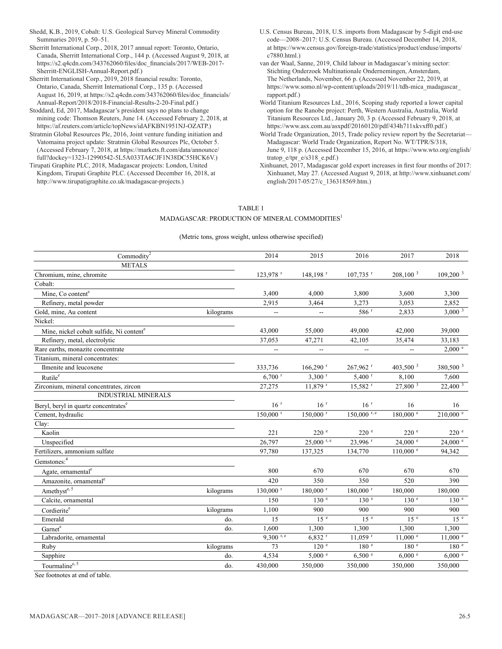Shedd, K.B., 2019, Cobalt: U.S. Geological Survey Mineral Commodity Summaries 2019, p. 50–51.

Sherritt International Corp., 2018, 2017 annual report: Toronto, Ontario, Canada, Sherritt International Corp., 144 p. (Accessed August 9, 2018, at https://s2.q4cdn.com/343762060/files/doc\_financials/2017/WEB-2017- Sherritt-ENGLISH-Annual-Report.pdf.)

Sherritt International Corp., 2019, 2018 financial results: Toronto, Ontario, Canada, Sherritt International Corp., 135 p. (Accessed August 16, 2019, at https://s2.q4cdn.com/343762060/files/doc\_financials/ Annual-Report/2018/2018-Financial-Results-2-20-Final.pdf.)

Stoddard, Ed, 2017, Madagascar's president says no plans to change mining code: Thomson Reuters, June 14. (Accessed February 2, 2018, at https://af.reuters.com/article/topNews/idAFKBN1951NJ-OZATP.)

Stratmin Global Resources Plc, 2016, Joint venture funding initiation and Vatomaina project update: Stratmin Global Resources Plc, October 5. (Accessed February 7, 2018, at https://markets.ft.com/data/announce/ full?dockey=1323-12990542-5L5A033TA6CJF1N38DC55HCK6V.)

Tirupati Graphite PLC, 2018, Madagascar projects: London, United Kingdom, Tirupati Graphite PLC. (Accessed December 16, 2018, at http://www.tirupatigraphite.co.uk/madagascar-projects.)

U.S. Census Bureau, 2018, U.S. imports from Madagascar by 5-digit end-use code—2008–2017: U.S. Census Bureau. (Accessed December 14, 2018, at https://www.census.gov/foreign-trade/statistics/product/enduse/imports/ c7880.html.)

van der Waal, Sanne, 2019, Child labour in Madagascar's mining sector: Stichting Onderzoek Multinationale Ondernemingen, Amsterdam, The Netherlands, November, 66 p. (Accessed November 22, 2019, at https://www.somo.nl/wp-content/uploads/2019/11/tdh-mica\_madagascar\_ rapport.pdf.)

World Titanium Resources Ltd., 2016, Scoping study reported a lower capital option for the Ranobe project: Perth, Western Australia, Australia, World Titanium Resources Ltd., January 20, 3 p. (Accessed February 9, 2018, at https://www.asx.com.au/asxpdf/20160120/pdf/434h711xkvxff0.pdf.)

World Trade Organization, 2015, Trade policy review report by the Secretariat— Madagascar: World Trade Organization, Report No. WT/TPR/S/318, June 9, 118 p. (Accessed December 15, 2016, at https://www.wto.org/english/ tratop\_e/tpr\_e/s318\_e.pdf.)

Xinhuanet, 2017, Madagascar gold export increases in first four months of 2017: Xinhuanet, May 27. (Accessed August 9, 2018, at http://www.xinhuanet.com/ english/2017-05/27/c\_136318569.htm.)

#### TABLE 1

#### MADAGASCAR: PRODUCTION OF MINERAL COMMODITIES<sup>1</sup>

#### (Metric tons, gross weight, unless otherwise specified)

| $\mathrm{Commodity}^2$                               |           | 2014                     | 2015                     | 2016                   | 2017                     | 2018                   |
|------------------------------------------------------|-----------|--------------------------|--------------------------|------------------------|--------------------------|------------------------|
| <b>METALS</b>                                        |           |                          |                          |                        |                          |                        |
| Chromium, mine, chromite                             |           | 123,978 <sup>r</sup>     | $148, 198$ <sup>r</sup>  | $107,735$ <sup>r</sup> | 208,100 <sup>3</sup>     | 109,200 <sup>3</sup>   |
| Cobalt:                                              |           |                          |                          |                        |                          |                        |
| Mine, Co content <sup>e</sup>                        |           | 3,400                    | 4,000                    | 3,800                  | 3,600                    | 3,300                  |
| Refinery, metal powder                               |           | 2,915                    | 3,464                    | 3.273                  | 3,053                    | 2,852                  |
| Gold, mine, Au content                               | kilograms | Ξ.                       | $\overline{\phantom{a}}$ | $586$ <sup>r</sup>     | 2,833                    | $3,000^{3}$            |
| Nickel:                                              |           |                          |                          |                        |                          |                        |
| Mine, nickel cobalt sulfide, Ni content <sup>e</sup> |           | 43,000                   | 55,000                   | 49,000                 | 42,000                   | 39,000                 |
| Refinery, metal, electrolytic                        |           | 37,053                   | 47,271                   | 42,105                 | 35,474                   | 33,183                 |
| Rare earths, monazite concentrate                    |           | $\overline{\phantom{a}}$ | $\overline{a}$           | $\sim$                 | $\overline{\phantom{a}}$ | 2,000 °                |
| Titanium, mineral concentrates:                      |           |                          |                          |                        |                          |                        |
| Ilmenite and leucoxene                               |           | 333,736                  | $166,290$ <sup>r</sup>   | $267,962$ <sup>r</sup> | 403,500 <sup>3</sup>     | 380,500 <sup>3</sup>   |
| Rutile <sup>e</sup>                                  |           | $6.700$ <sup>r</sup>     | $3,300$ <sup>r</sup>     | $5,400$ <sup>r</sup>   | 8,100                    | 7,600                  |
| Zirconium, mineral concentrates, zircon              |           | 27,275                   | 11,879 r                 | 15,582 r               | $27,800^{3}$             | 22,400 3               |
| <b>INDUSTRIAL MINERALS</b>                           |           |                          |                          |                        |                          |                        |
| Beryl, beryl in quartz concentrates <sup>e</sup>     |           | 16 <sup>r</sup>          | 16 <sup>r</sup>          | 16 <sup>r</sup>        | 16                       | 16                     |
| Cement, hydraulic                                    |           | $150,000$ <sup>r</sup>   | $150,000$ <sup>r</sup>   | $150,000$ r, e         | $180,000$ $e$            | $210,000$ <sup>e</sup> |
| Clay:                                                |           |                          |                          |                        |                          |                        |
| Kaolin                                               |           | 221                      | 220 e                    | 220 e                  | 220 e                    | 220 e                  |
| Unspecified                                          |           | 26,797                   | $25,000$ r, e            | 23,996 r               | $24,000$ $^{\circ}$      | $24,000$ $^{\circ}$    |
| Fertilizers, ammonium sulfate                        |           | 97,780                   | 137,325                  | 134,770                | $110,000$ $\degree$      | 94,342                 |
| Gemstones: <sup>4</sup>                              |           |                          |                          |                        |                          |                        |
| Agate, ornamental <sup>e</sup>                       |           | 800                      | 670                      | 670                    | 670                      | 670                    |
| Amazonite, ornamental <sup>e</sup>                   |           | 420                      | 350                      | 350                    | 520                      | 390                    |
| Amethyst <sup>e, 5</sup>                             | kilograms | $130,000$ <sup>r</sup>   | 180,000 r                | 180,000 r              | 180,000                  | 180,000                |
| Calcite, ornamental                                  |           | 150                      | 130 <sup>e</sup>         | 130 <sup>e</sup>       | $130 e^{-}$              | 130 <sup>e</sup>       |
| Cordierite <sup>e</sup>                              | kilograms | 1,100                    | 900                      | 900                    | 900                      | 900                    |
| Emerald                                              | do.       | 15                       | 15 <sup>e</sup>          | 15 <sup>e</sup>        | 15 <sup>e</sup>          | 15 <sup>e</sup>        |
| Garnet <sup>e</sup>                                  | do.       | 1,600                    | 1,300                    | 1,300                  | 1,300                    | 1,300                  |
| Labradorite, ornamental                              |           | $9,300$ r, e             | $6,832$ <sup>r</sup>     | $11,059$ <sup>r</sup>  | $11,000$ $e$             | $11,000$ $\degree$     |
| Ruby                                                 | kilograms | 73                       | 120 <sup>e</sup>         | 180 <sup>e</sup>       | 180 <sup>e</sup>         | 180 <sup>e</sup>       |
| Sapphire                                             | do.       | 4,534                    | 5,000 °                  | 6,500 °                | 6,000 °                  | 6,000 °                |
| Tourmaline <sup>e, 5</sup>                           | do.       | 430,000                  | 350,000                  | 350,000                | 350,000                  | 350,000                |

See footnotes at end of table.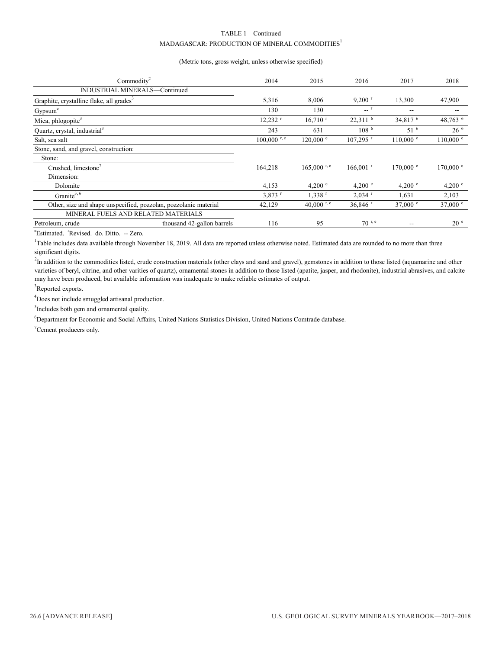#### TABLE 1—Continued  $\mathbf{MADAGASCAR:}$ PRODUCTION OF  $\mathbf{MINERAL}\ \mathbf{COMMODITIES}^{1}$

#### (Metric tons, gross weight, unless otherwise specified)

| Commodity $2$                                                    |                            | 2014                  | 2015                  | 2016                   | 2017                  | 2018                 |
|------------------------------------------------------------------|----------------------------|-----------------------|-----------------------|------------------------|-----------------------|----------------------|
| INDUSTRIAL MINERALS-Continued                                    |                            |                       |                       |                        |                       |                      |
|                                                                  |                            |                       |                       |                        |                       |                      |
| Graphite, crystalline flake, all grades <sup>3</sup>             |                            | 5,316                 | 8,006                 | $9,200$ <sup>r</sup>   | 13,300                | 47,900               |
| Gypsum <sup>e</sup>                                              |                            | 130                   | 130                   | <sup>r</sup>           | --                    | $- -$                |
| Mica, phlogopite <sup>3</sup>                                    |                            | $12,232$ <sup>t</sup> | $16,710$ <sup>r</sup> | $22,311$ <sup>6</sup>  | $34,817$ <sup>6</sup> | 48,763 6             |
| Quartz, crystal, industrial <sup>3</sup>                         |                            | 243                   | 631                   | 108 <sup>6</sup>       | 51 <sup>6</sup>       | 26 <sup>6</sup>      |
| Salt, sea salt                                                   |                            | $100,000$ r, e        | $120,000$ $\degree$   | $107,295$ <sup>r</sup> | $110,000$ $\degree$   | $110,000$ $^{\circ}$ |
| Stone, sand, and gravel, construction:                           |                            |                       |                       |                        |                       |                      |
| Stone:                                                           |                            |                       |                       |                        |                       |                      |
| Crushed, limestone                                               |                            | 164,218               | $165,000$ r, e        | $166,001$ <sup>r</sup> | $170,000$ $^{\circ}$  | $170,000$ $^{\circ}$ |
| Dimension:                                                       |                            |                       |                       |                        |                       |                      |
| Dolomite                                                         |                            | 4,153                 | 4.200 $^{\circ}$      | 4,200 $^{\circ}$       | 4,200 $^{\circ}$      | 4,200 $^{\circ}$     |
| Granite <sup>3, <math>6</math></sup>                             |                            | $3,873$ <sup>t</sup>  | $1,338$ <sup>r</sup>  | $2,034$ <sup>r</sup>   | 1,631                 | 2,103                |
| Other, size and shape unspecified, pozzolan, pozzolanic material |                            | 42,129                | 40,000 r, e           | $36,846$ <sup>r</sup>  | 37,000 $^{\circ}$     | 37,000 $^{\circ}$    |
| MINERAL FUELS AND RELATED MATERIALS                              |                            |                       |                       |                        |                       |                      |
| Petroleum, crude                                                 | thousand 42-gallon barrels | 116                   | 95                    | $70^{r, e}$            | --                    | 20 <sup>°</sup>      |

<sup>e</sup>Estimated. <sup>r</sup>Revised. do. Ditto. -- Zero.

<sup>1</sup>Table includes data available through November 18, 2019. All data are reported unless otherwise noted. Estimated data are rounded to no more than three significant digits.

<sup>2</sup>In addition to the commodities listed, crude construction materials (other clays and sand and gravel), gemstones in addition to those listed (aquamarine and other varieties of beryl, citrine, and other varities of quartz), ornamental stones in addition to those listed (apatite, jasper, and rhodonite), industrial abrasives, and calcite may have been produced, but available information was inadequate to make reliable estimates of output.

<sup>3</sup>Reported exports.

<sup>4</sup>Does not include smuggled artisanal production.

<sup>5</sup>Includes both gem and ornamental quality.

6 Department for Economic and Social Affairs, United Nations Statistics Division, United Nations Comtrade database.

 $7$ Cement producers only.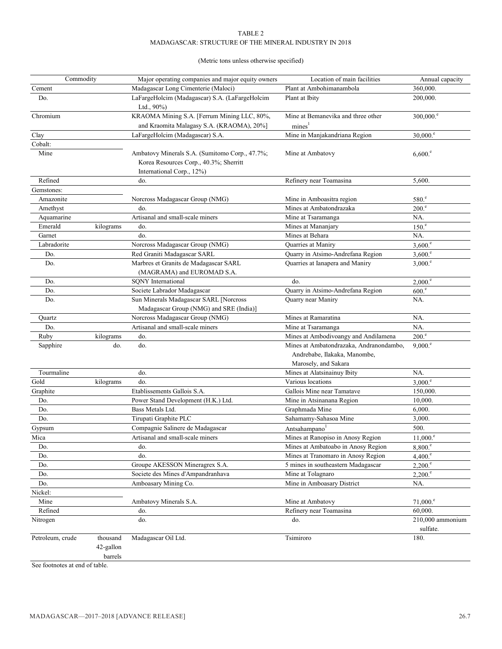#### TABLE 2 MADAGASCAR: STRUCTURE OF THE MINERAL INDUSTRY IN 2018

#### (Metric tons unless otherwise specified)

| Commodity        |                      | Major operating companies and major equity owners                                                                     | Location of main facilities                                                                     | Annual capacity                |
|------------------|----------------------|-----------------------------------------------------------------------------------------------------------------------|-------------------------------------------------------------------------------------------------|--------------------------------|
| Cement           |                      | Madagascar Long Cimenterie (Maloci)                                                                                   | Plant at Ambohimanambola                                                                        | 360,000.                       |
| Do.              |                      | LaFargeHolcim (Madagascar) S.A. (LaFargeHolcim<br>Ltd., 90%)                                                          | Plant at Ibity                                                                                  | 200,000.                       |
| Chromium         |                      | KRAOMA Mining S.A. [Ferrum Mining LLC, 80%,<br>and Kraomita Malagasy S.A. (KRAOMA), 20%]                              | Mine at Bemanevika and three other<br>mines <sup>1</sup>                                        | $300,000$ . $\degree$          |
| Clay             |                      | LaFargeHolcim (Madagascar) S.A.                                                                                       | Mine in Manjakandriana Region                                                                   | $30,000$ . $^{\circ}$          |
| Cobalt:          |                      |                                                                                                                       |                                                                                                 |                                |
| Mine             |                      | Ambatovy Minerals S.A. (Sumitomo Corp., 47.7%;<br>Korea Resources Corp., 40.3%; Sherritt<br>International Corp., 12%) | Mine at Ambatovy                                                                                | $6,600.^{\circ}$               |
| Refined          |                      | do.                                                                                                                   | Refinery near Toamasina                                                                         | 5,600.                         |
| Gemstones:       |                      |                                                                                                                       |                                                                                                 |                                |
| Amazonite        |                      | Norcross Madagascar Group (NMG)                                                                                       | Mine in Amboasitra region                                                                       | 580 <sup>e</sup>               |
| Amethyst         |                      | do.                                                                                                                   | Mines at Ambatondrazaka                                                                         | 200 <sup>e</sup>               |
| Aquamarine       |                      | Artisanal and small-scale miners                                                                                      | Mine at Tsaramanga                                                                              | NA.                            |
| Emerald          | kilograms            | do.                                                                                                                   | Mines at Mananjary                                                                              | 150 <sup>e</sup>               |
| Garnet           |                      | do.                                                                                                                   | Mines at Behara                                                                                 | NA.                            |
| Labradorite      |                      | Norcross Madagascar Group (NMG)                                                                                       | Quarries at Maniry                                                                              | $3,600$ .                      |
| Do.              |                      | Red Graniti Madagascar SARL                                                                                           | Quarry in Atsimo-Andrefana Region                                                               | $3,600$ .                      |
| Do.              |                      | Marbres et Granits de Madagascar SARL<br>(MAGRAMA) and EUROMAD S.A.                                                   | Quarries at Ianapera and Maniry                                                                 | 3,000. <sup>e</sup>            |
| Do.              |                      | <b>SONY</b> International                                                                                             | do.                                                                                             | $2,000$ . <sup>e</sup>         |
| Do.              |                      | Societe Labrador Madagascar                                                                                           | Quarry in Atsimo-Andrefana Region                                                               | 600 <sup>e</sup>               |
| Do.              |                      | Sun Minerals Madagascar SARL [Norcross<br>Madagascar Group (NMG) and SRE (India)]                                     | Quarry near Maniry                                                                              | NA.                            |
| Quartz           |                      | Norcross Madagascar Group (NMG)                                                                                       | Mines at Ramaratina                                                                             | NA.                            |
| Do.              |                      | Artisanal and small-scale miners                                                                                      | Mine at Tsaramanga                                                                              | NA.                            |
| Ruby             | kilograms            | do.                                                                                                                   | Mines at Ambodivoangy and Andilamena                                                            | 200 <sup>e</sup>               |
| Sapphire         | do.                  | do.                                                                                                                   | Mines at Ambatondrazaka, Andranondambo,<br>Andrebabe, Ilakaka, Manombe,<br>Marosely, and Sakara | $9,000$ . <sup>e</sup>         |
| Tourmaline       |                      | do.                                                                                                                   | Mines at Alatsinainuy Ibity                                                                     | NA.                            |
| Gold             | kilograms            | do.                                                                                                                   | Various locations                                                                               | $3,000$ .                      |
| Graphite         |                      | Etablissements Gallois S.A.                                                                                           | Gallois Mine near Tamatave                                                                      | 150,000.                       |
| Do.              |                      | Power Stand Development (H.K.) Ltd.                                                                                   | Mine in Atsinanana Region                                                                       | 10,000.                        |
| Do.              |                      | Bass Metals Ltd.                                                                                                      | Graphmada Mine                                                                                  | 6,000.                         |
| Do.              |                      | Tirupati Graphite PLC                                                                                                 | Sahamamy-Sahasoa Mine                                                                           | 3,000.                         |
| Gypsum           |                      | Compagnie Salinere de Madagascar                                                                                      | Antsahampano <sup>1</sup>                                                                       | 500.                           |
| Mica             |                      | Artisanal and small-scale miners                                                                                      | Mines at Ranopiso in Anosy Region                                                               | $11,000.^{\circ}$              |
| Do.              |                      | do.                                                                                                                   | Mines at Ambatoabo in Anosy Region                                                              | $8,800.^{\circ}$               |
| Do.              |                      | do.                                                                                                                   | Mines at Tranomaro in Anosy Region                                                              | 4,400 <sup>e</sup>             |
| Do.              |                      | Groupe AKESSON Mineragrex S.A.                                                                                        | 5 mines in southeastern Madagascar                                                              | $2,200$ . $^{\circ}$           |
| Do.              |                      | Societe des Mines d'Ampandranhava                                                                                     | Mine at Tolagnaro                                                                               | $2,200$ .                      |
| Do.              |                      | Amboasary Mining Co.                                                                                                  | Mine in Amboasary District                                                                      | NA.                            |
| Nickel:          |                      |                                                                                                                       |                                                                                                 |                                |
| Mine             |                      | Ambatovy Minerals S.A.                                                                                                | Mine at Ambatovy                                                                                | $71,000$ .                     |
| Refined          |                      | do.                                                                                                                   | Refinery near Toamasina                                                                         | 60,000.                        |
| Nitrogen         |                      | do.                                                                                                                   | do.                                                                                             | $210,000$ ammonium<br>sulfate. |
| Petroleum, crude | thousand             | Madagascar Oil Ltd.                                                                                                   | Tsimiroro                                                                                       | 180.                           |
|                  | 42-gallon<br>barrels |                                                                                                                       |                                                                                                 |                                |

See footnotes at end of table.